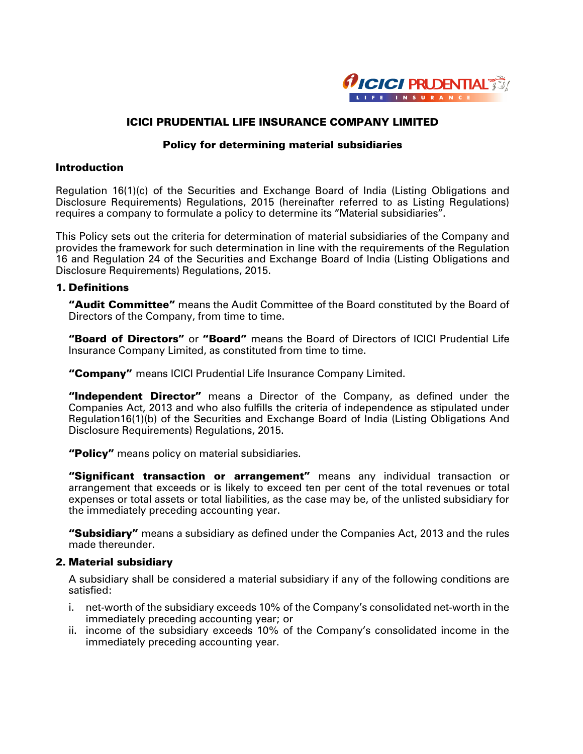

# ICICI PRUDENTIAL LIFE INSURANCE COMPANY LIMITED

### Policy for determining material subsidiaries

## **Introduction**

Regulation 16(1)(c) of the Securities and Exchange Board of India (Listing Obligations and Disclosure Requirements) Regulations, 2015 (hereinafter referred to as Listing Regulations) requires a company to formulate a policy to determine its "Material subsidiaries".

This Policy sets out the criteria for determination of material subsidiaries of the Company and provides the framework for such determination in line with the requirements of the Regulation 16 and Regulation 24 of the Securities and Exchange Board of India (Listing Obligations and Disclosure Requirements) Regulations, 2015.

### 1. Definitions

"Audit Committee" means the Audit Committee of the Board constituted by the Board of Directors of the Company, from time to time.

"Board of Directors" or "Board" means the Board of Directors of ICICI Prudential Life Insurance Company Limited, as constituted from time to time.

"Company" means ICICI Prudential Life Insurance Company Limited.

"Independent Director" means a Director of the Company, as defined under the Companies Act, 2013 and who also fulfills the criteria of independence as stipulated under Regulation16(1)(b) of the Securities and Exchange Board of India (Listing Obligations And Disclosure Requirements) Regulations, 2015.

"Policy" means policy on material subsidiaries.

"Significant transaction or arrangement" means any individual transaction or arrangement that exceeds or is likely to exceed ten per cent of the total revenues or total expenses or total assets or total liabilities, as the case may be, of the unlisted subsidiary for the immediately preceding accounting year.

"Subsidiary" means a subsidiary as defined under the Companies Act, 2013 and the rules made thereunder.

### 2. Material subsidiary

A subsidiary shall be considered a material subsidiary if any of the following conditions are satisfied:

- i. net-worth of the subsidiary exceeds 10% of the Company's consolidated net-worth in the immediately preceding accounting year; or
- ii. income of the subsidiary exceeds 10% of the Company's consolidated income in the immediately preceding accounting year.